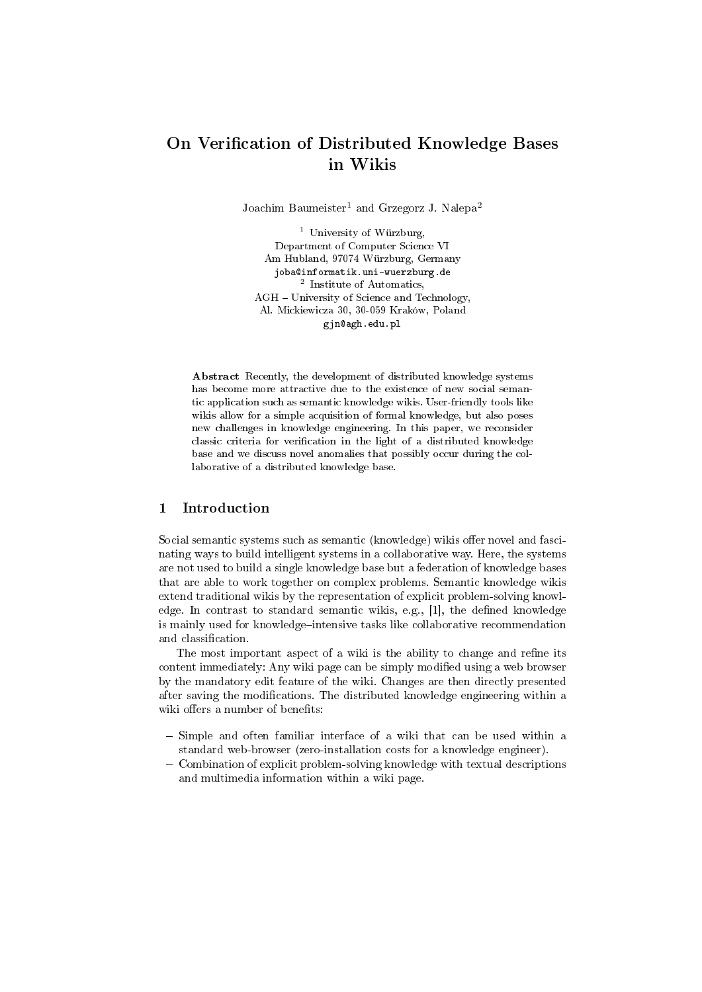# On Verification of Distributed Knowledge Bases in Wikis

Joachim Baumeister<sup>1</sup> and Grzegorz J. Nalepa<sup>2</sup>

<sup>1</sup> University of Würzburg, Department of Computer Science VI Am Hubland, 97074 Würzburg, Germany joba@informatik.uni-wuerzburg.de 2 Institute of Automatics, AGH - University of Science and Technology, Al. Mickiewicza 30, 30-059 Kraków, Poland gjn@agh.edu.pl

Abstract Recently, the development of distributed knowledge systems has become more attractive due to the existence of new social semantic application such as semantic knowledge wikis. User-friendly tools like wikis allow for a simple acquisition of formal knowledge, but also poses new challenges in knowledge engineering. In this paper, we reconsider classic criteria for verification in the light of a distributed knowledge base and we discuss novel anomalies that possibly occur during the collaborative of a distributed knowledge base.

## 1 Introduction

Social semantic systems such as semantic (knowledge) wikis offer novel and fascinating ways to build intelligent systems in a collaborative way. Here, the systems are not used to build a single knowledge base but a federation of knowledge bases that are able to work together on complex problems. Semantic knowledge wikis extend traditional wikis by the representation of explicit problem-solving knowledge. In contrast to standard semantic wikis, e.g.,  $[1]$ , the defined knowledge is mainly used for knowledge-intensive tasks like collaborative recommendation and classification.

The most important aspect of a wiki is the ability to change and refine its content immediately: Any wiki page can be simply modified using a web browser by the mandatory edit feature of the wiki. Changes are then directly presented after saving the modifications. The distributed knowledge engineering within a wiki offers a number of benefits:

- $-$  Simple and often familiar interface of a wiki that can be used within a standard web-browser (zero-installation costs for a knowledge engineer).
- Combination of explicit problem-solving knowledge with textual descriptions and multimedia information within a wiki page.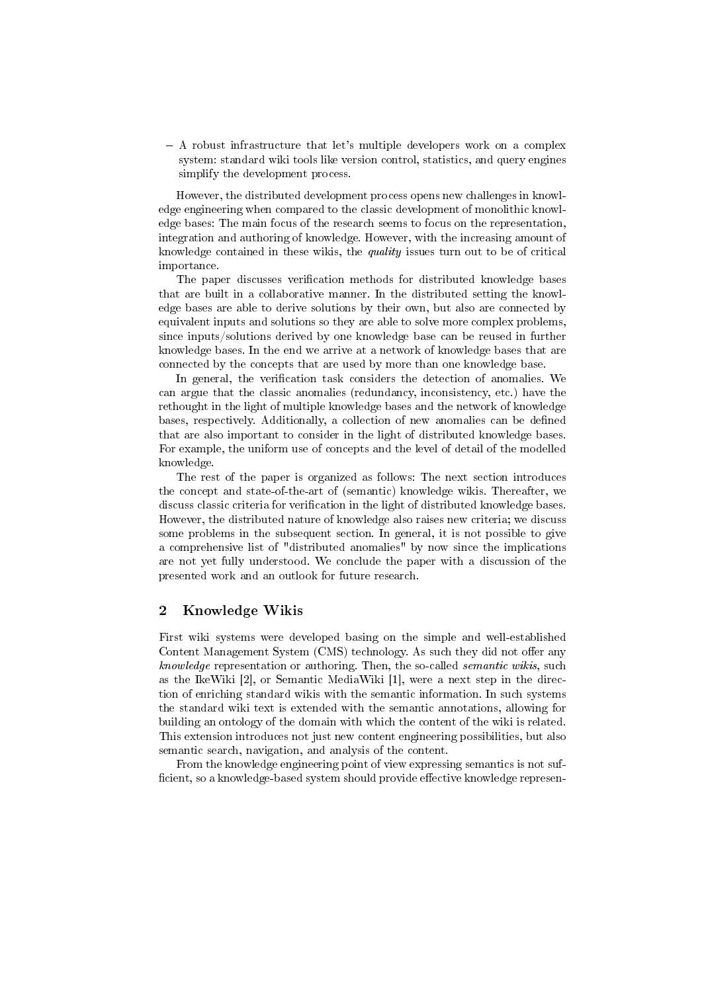$-$  A robust infrastructure that let's multiple developers work on a complex system: standard wiki tools like version control, statistics, and query engines simplify the development process.

However, the distributed development process opens new challenges in knowledge engineering when compared to the classic development of monolithic knowledge bases: The main focus of the research seems to focus on the representation, integration and authoring of knowledge. However, with the increasing amount of knowledge contained in these wikis, the quality issues turn out to be of critical importance.

The paper discusses verification methods for distributed knowledge bases that are built in a collaborative manner. In the distributed setting the knowledge bases are able to derive solutions by their own, but also are connected by equivalent inputs and solutions so they are able to solve more complex problems, since inputs/solutions derived by one knowledge base can be reused in further knowledge bases. In the end we arrive at a network of knowledge bases that are connected by the concepts that are used by more than one knowledge base.

In general, the verification task considers the detection of anomalies. We can argue that the classic anomalies (redundancy, inconsistency, etc.) have the rethought in the light of multiple knowledge bases and the network of knowledge bases, respectively. Additionally, a collection of new anomalies can be defined that are also important to consider in the light of distributed knowledge bases. For example, the uniform use of concepts and the level of detail of the modelled knowledge.

The rest of the paper is organized as follows: The next section introduces the concept and state-of-the-art of (semantic) knowledge wikis. Thereafter, we discuss classic criteria for verification in the light of distributed knowledge bases. However, the distributed nature of knowledge also raises new criteria; we discuss some problems in the subsequent section. In general, it is not possible to give a comprehensive list of "distributed anomalies" by now since the implications are not yet fully understood. We conclude the paper with a discussion of the presented work and an outlook for future research.

## 2 Knowledge Wikis

First wiki systems were developed basing on the simple and well-established Content Management System (CMS) technology. As such they did not offer any knowledge representation or authoring. Then, the so-called semantic wikis, such as the IkeWiki [2], or Semantic MediaWiki [1], were a next step in the direction of enriching standard wikis with the semantic information. In such systems the standard wiki text is extended with the semantic annotations, allowing for building an ontology of the domain with which the content of the wiki is related. This extension introduces not just new content engineering possibilities, but also semantic search, navigation, and analysis of the content.

From the knowledge engineering point of view expressing semantics is not suf ficient, so a knowledge-based system should provide effective knowledge represen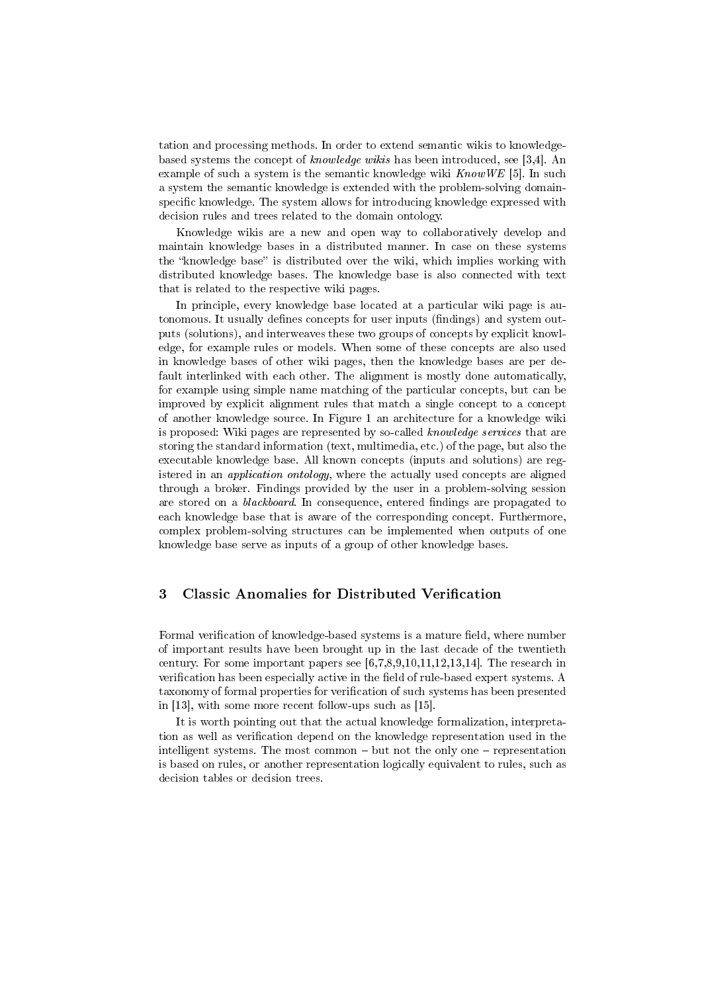tation and processing methods. In order to extend semantic wikis to knowledgebased systems the concept of knowledge wikis has been introduced, see [3,4]. An example of such a system is the semantic knowledge wiki  $KnowWE$  [5]. In such a system the semantic knowledge is extended with the problem-solving domainspecific knowledge. The system allows for introducing knowledge expressed with decision rules and trees related to the domain ontology.

Knowledge wikis are a new and open way to collaboratively develop and maintain knowledge bases in a distributed manner. In case on these systems the "knowledge base" is distributed over the wiki, which implies working with distributed knowledge bases. The knowledge base is also connected with text that is related to the respective wiki pages.

In principle, every knowledge base located at a particular wiki page is autonomous. It usually defines concepts for user inputs (findings) and system outputs (solutions), and interweaves these two groups of concepts by explicit knowledge, for example rules or models. When some of these concepts are also used in knowledge bases of other wiki pages, then the knowledge bases are per default interlinked with each other. The alignment is mostly done automatically, for example using simple name matching of the particular concepts, but can be improved by explicit alignment rules that match a single concept to a concept of another knowledge source. In Figure 1 an architecture for a knowledge wiki is proposed: Wiki pages are represented by so-called knowledge services that are storing the standard information (text, multimedia, etc.) of the page, but also the executable knowledge base. All known concepts (inputs and solutions) are registered in an application ontology, where the actually used concepts are aligned through a broker. Findings provided by the user in a problem-solving session are stored on a *blackboard*. In consequence, entered findings are propagated to each knowledge base that is aware of the corresponding concept. Furthermore, complex problem-solving structures can be implemented when outputs of one knowledge base serve as inputs of a group of other knowledge bases.

## 3 Classic Anomalies for Distributed Verification

Formal verification of knowledge-based systems is a mature field, where number of important results have been brought up in the last decade of the twentieth century. For some important papers see [6,7,8,9,10,11,12,13,14]. The research in verification has been especially active in the field of rule-based expert systems. A taxonomy of formal properties for verification of such systems has been presented in [13], with some more recent follow-ups such as [15].

It is worth pointing out that the actual knowledge formalization, interpretation as well as verification depend on the knowledge representation used in the intelligent systems. The most common  $-$  but not the only one  $-$  representation is based on rules, or another representation logically equivalent to rules, such as decision tables or decision trees.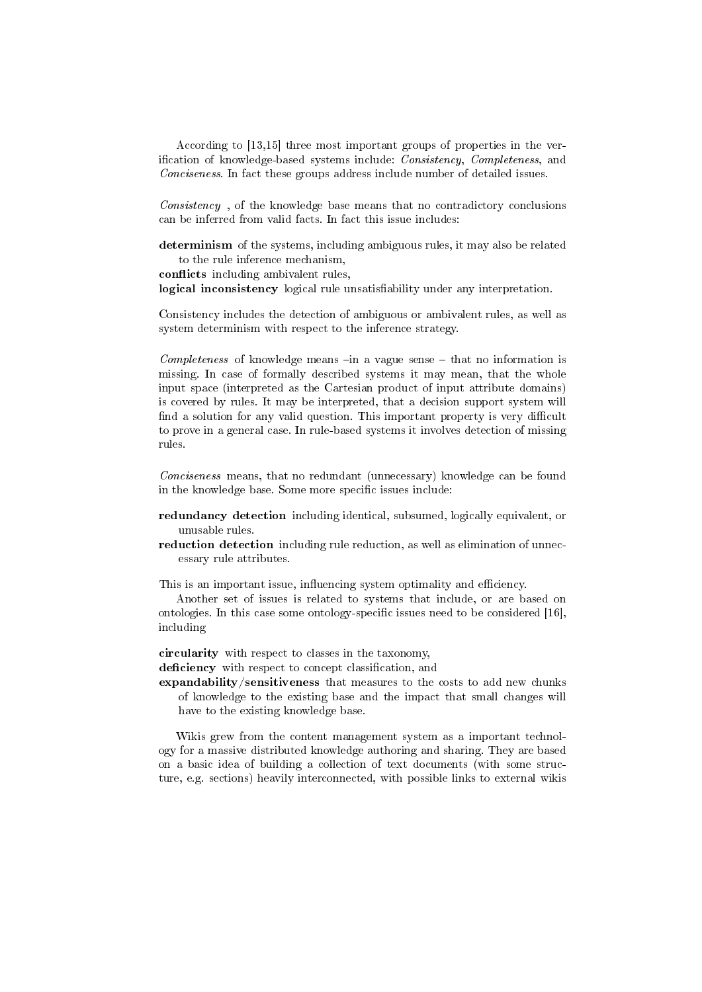According to [13,15] three most important groups of properties in the verification of knowledge-based systems include: *Consistency*, *Completeness*, and Conciseness. In fact these groups address include number of detailed issues.

Consistency , of the knowledge base means that no contradictory conclusions can be inferred from valid facts. In fact this issue includes:

determinism of the systems, including ambiguous rules, it may also be related to the rule inference mechanism,

conflicts including ambivalent rules,

logical inconsistency logical rule unsatisfiability under any interpretation.

Consistency includes the detection of ambiguous or ambivalent rules, as well as system determinism with respect to the inference strategy.

Completeness of knowledge means  $\overline{-}$  in a vague sense  $\overline{-}$  that no information is missing. In case of formally described systems it may mean, that the whole input space (interpreted as the Cartesian product of input attribute domains) is covered by rules. It may be interpreted, that a decision support system will find a solution for any valid question. This important property is very difficult to prove in a general case. In rule-based systems it involves detection of missing rules.

Conciseness means, that no redundant (unnecessary) knowledge can be found in the knowledge base. Some more specific issues include:

- redundancy detection including identical, subsumed, logically equivalent, or unusable rules.
- reduction detection including rule reduction, as well as elimination of unnecessary rule attributes.

This is an important issue, influencing system optimality and efficiency.

Another set of issues is related to systems that include, or are based on ontologies. In this case some ontology-specific issues need to be considered  $[16]$ , including

circularity with respect to classes in the taxonomy, deficiency with respect to concept classification, and

expandability/sensitiveness that measures to the costs to add new chunks of knowledge to the existing base and the impact that small changes will have to the existing knowledge base.

Wikis grew from the content management system as a important technology for a massive distributed knowledge authoring and sharing. They are based on a basic idea of building a collection of text documents (with some structure, e.g. sections) heavily interconnected, with possible links to external wikis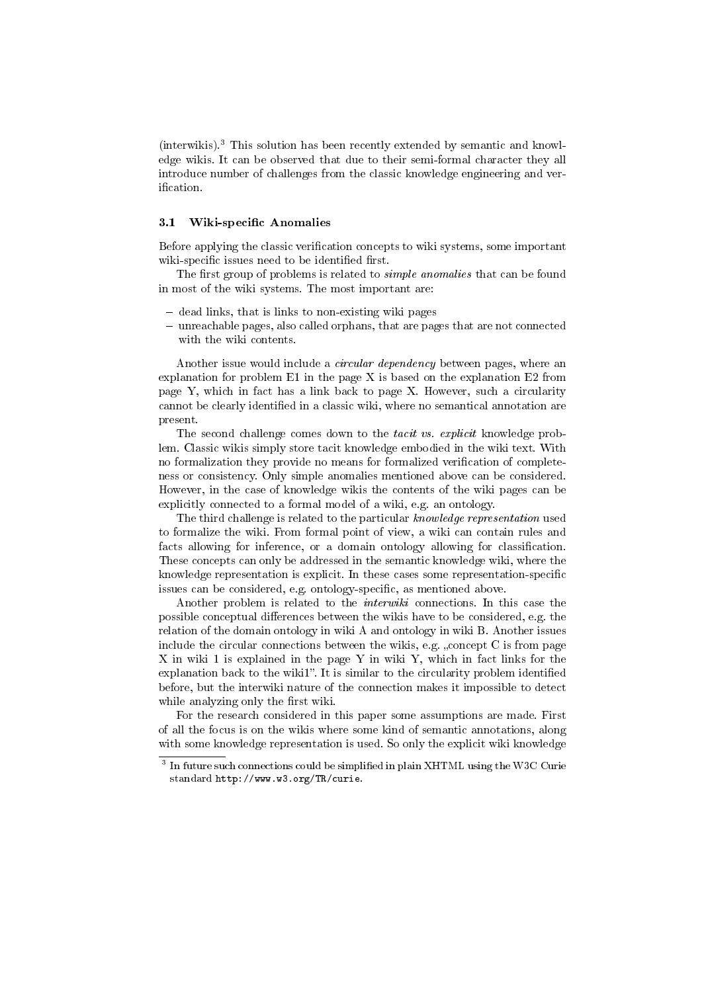(interwikis).<sup>3</sup> This solution has been recently extended by semantic and knowledge wikis. It can be observed that due to their semi-formal character they all introduce number of challenges from the classic knowledge engineering and verification.

#### 3.1 Wiki-specific Anomalies

Before applying the classic verification concepts to wiki systems, some important wiki-specific issues need to be identified first.

The first group of problems is related to *simple anomalies* that can be found in most of the wiki systems. The most important are:

- $-\,$  dead links, that is links to non-existing wiki pages
- unreachable pages, also called orphans, that are pages that are not connected with the wiki contents.

Another issue would include a circular dependency between pages, where an explanation for problem E1 in the page X is based on the explanation E2 from page Y, which in fact has a link back to page X. However, such a circularity cannot be clearly identified in a classic wiki, where no semantical annotation are present.

The second challenge comes down to the *tacit vs. explicit* knowledge problem. Classic wikis simply store tacit knowledge embodied in the wiki text. With no formalization they provide no means for formalized verification of completeness or consistency. Only simple anomalies mentioned above can be considered. However, in the case of knowledge wikis the contents of the wiki pages can be explicitly connected to a formal model of a wiki, e.g. an ontology.

The third challenge is related to the particular knowledge representation used to formalize the wiki. From formal point of view, a wiki can contain rules and facts allowing for inference, or a domain ontology allowing for classification. These concepts can only be addressed in the semantic knowledge wiki, where the knowledge representation is explicit. In these cases some representation-specific issues can be considered, e.g. ontology-specific, as mentioned above.

Another problem is related to the interwiki connections. In this case the possible conceptual differences between the wikis have to be considered, e.g. the relation of the domain ontology in wiki A and ontology in wiki B. Another issues include the circular connections between the wikis, e.g. "concept  $C$  is from page X in wiki 1 is explained in the page Y in wiki Y, which in fact links for the explanation back to the wiki1". It is similar to the circularity problem identified before, but the interwiki nature of the connection makes it impossible to detect while analyzing only the first wiki.

For the research considered in this paper some assumptions are made. First of all the focus is on the wikis where some kind of semantic annotations, along with some knowledge representation is used. So only the explicit wiki knowledge

 $^3$  In future such connections could be simplified in plain XHTML using the W3C Curie standard http://www.w3.org/TR/curie.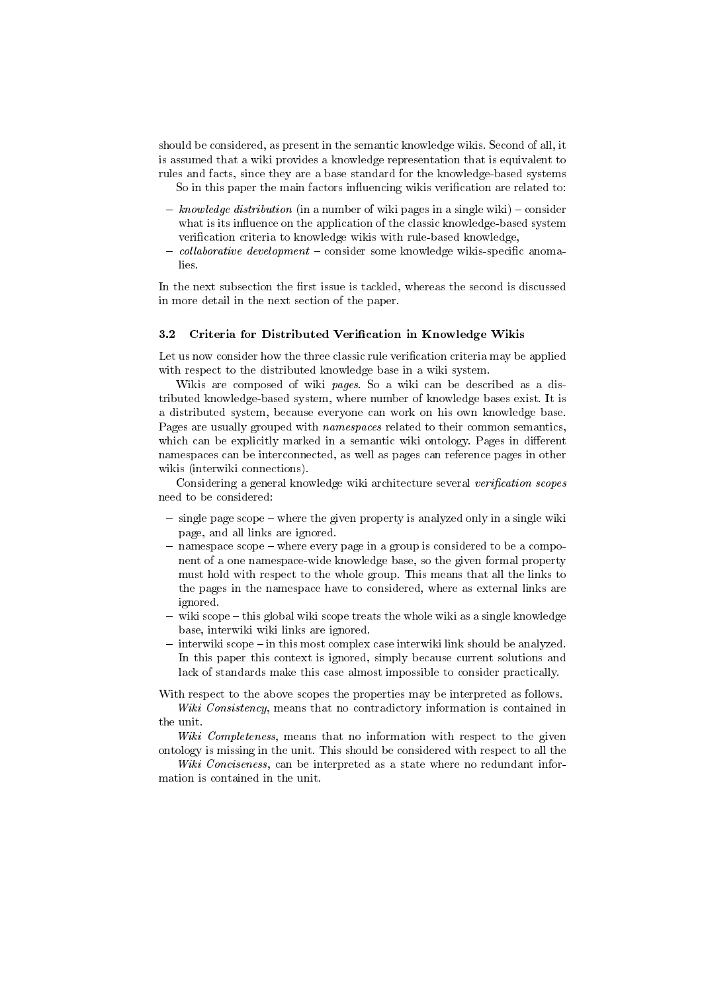should be considered, as present in the semantic knowledge wikis. Second of all, it is assumed that a wiki provides a knowledge representation that is equivalent to rules and facts, since they are a base standard for the knowledge-based systems

So in this paper the main factors influencing wikis verification are related to:

- $knowledge\ distribution$  (in a number of wiki pages in a single wiki) consider what is its influence on the application of the classic knowledge-based system verification criteria to knowledge wikis with rule-based knowledge,
- $-collaborative\ development$  consider some knowledge wikis-specific anomalies.

In the next subsection the first issue is tackled, whereas the second is discussed in more detail in the next section of the paper.

### 3.2 Criteria for Distributed Verification in Knowledge Wikis

Let us now consider how the three classic rule verification criteria may be applied with respect to the distributed knowledge base in a wiki system.

Wikis are composed of wiki pages. So a wiki can be described as a distributed knowledge-based system, where number of knowledge bases exist. It is a distributed system, because everyone can work on his own knowledge base. Pages are usually grouped with *namespaces* related to their common semantics, which can be explicitly marked in a semantic wiki ontology. Pages in different namespaces can be interconnected, as well as pages can reference pages in other wikis (interwiki connections).

Considering a general knowledge wiki architecture several verification scopes need to be considered:

- $-$  single page scope  $-$  where the given property is analyzed only in a single wiki page, and all links are ignored.
- namespace scope where every page in a group is considered to be a component of a one namespace-wide knowledge base, so the given formal property must hold with respect to the whole group. This means that all the links to the pages in the namespace have to considered, where as external links are ignored.
- $-$  wiki scope  $-$  this global wiki scope treats the whole wiki as a single knowledge base, interwiki wiki links are ignored.
- $\frac{1}{1}$  interwiki scope  $\frac{1}{1}$  in this most complex case interwiki link should be analyzed. In this paper this context is ignored, simply because current solutions and lack of standards make this case almost impossible to consider practically.

With respect to the above scopes the properties may be interpreted as follows. Wiki Consistency, means that no contradictory information is contained in

the unit.

Wiki Completeness, means that no information with respect to the given ontology is missing in the unit. This should be considered with respect to all the

Wiki Conciseness, can be interpreted as a state where no redundant information is contained in the unit.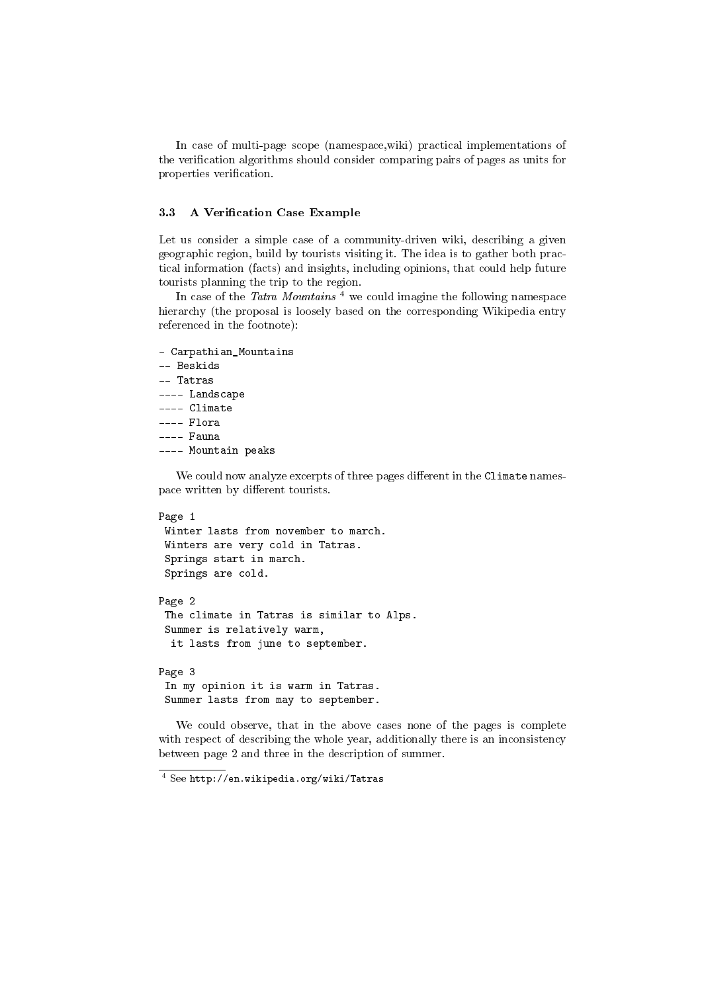In case of multi-page scope (namespace,wiki) practical implementations of the verification algorithms should consider comparing pairs of pages as units for properties verification.

## 3.3 A Verification Case Example

Let us consider a simple case of a community-driven wiki, describing a given geographic region, build by tourists visiting it. The idea is to gather both practical information (facts) and insights, including opinions, that could help future tourists planning the trip to the region.

In case of the Tatra Mountains<sup>4</sup> we could imagine the following namespace hierarchy (the proposal is loosely based on the corresponding Wikipedia entry referenced in the footnote):

```
- Carpathian_Mountains
-- Beskids
-- Tatras
---- Landscape
---- Climate
---- Flora
---- Fauna
---- Mountain peaks
```
We could now analyze excerpts of three pages different in the Climate namespace written by different tourists.

```
Page 1
 Winter lasts from november to march.
 Winters are very cold in Tatras.
 Springs start in march.
 Springs are cold.
Page 2
 The climate in Tatras is similar to Alps.
 Summer is relatively warm,
  it lasts from june to september.
```
Page 3 In my opinion it is warm in Tatras. Summer lasts from may to september.

We could observe, that in the above cases none of the pages is complete with respect of describing the whole year, additionally there is an inconsistency between page 2 and three in the description of summer.

<sup>4</sup> See http://en.wikipedia.org/wiki/Tatras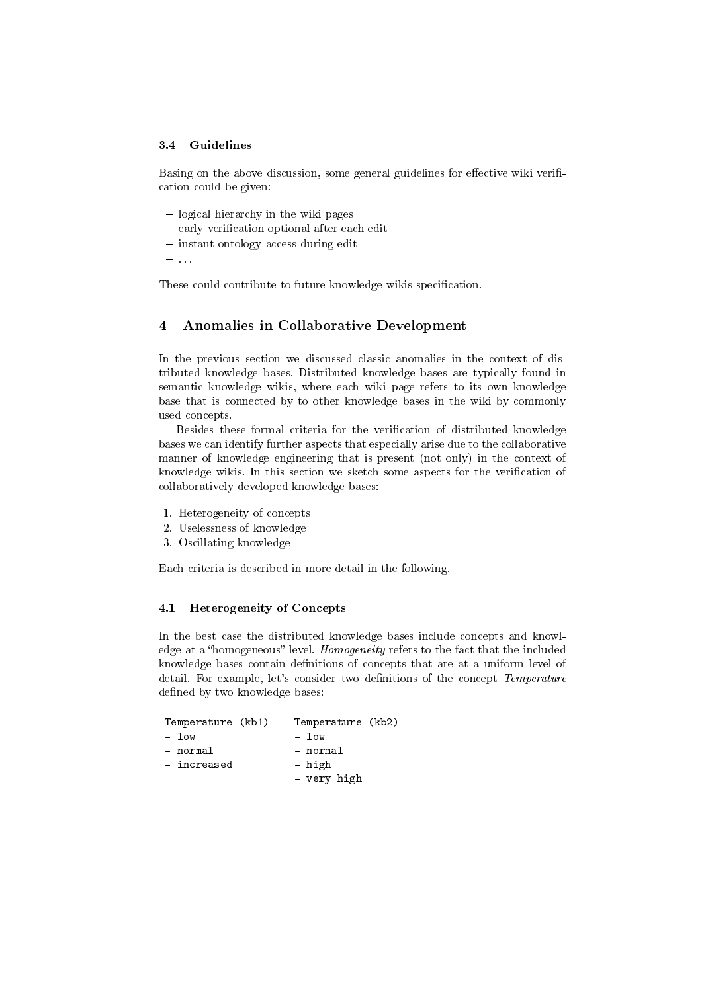#### 3.4 Guidelines

Basing on the above discussion, some general guidelines for effective wiki verification could be given:

- $\overline{\phantom{a}}$  logical hierarchy in the wiki pages
- $-$  early verification optional after each edit
- $\overline{\phantom{a}}$  instant ontology access during edit
- . . .

These could contribute to future knowledge wikis specification.

## 4 Anomalies in Collaborative Development

In the previous section we discussed classic anomalies in the context of distributed knowledge bases. Distributed knowledge bases are typically found in semantic knowledge wikis, where each wiki page refers to its own knowledge base that is connected by to other knowledge bases in the wiki by commonly used concepts.

Besides these formal criteria for the verification of distributed knowledge bases we can identify further aspects that especially arise due to the collaborative manner of knowledge engineering that is present (not only) in the context of knowledge wikis. In this section we sketch some aspects for the verification of collaboratively developed knowledge bases:

- 1. Heterogeneity of concepts
- 2. Uselessness of knowledge
- 3. Oscillating knowledge

Each criteria is described in more detail in the following.

## 4.1 Heterogeneity of Concepts

In the best case the distributed knowledge bases include concepts and knowledge at a "homogeneous" level. Homogeneity refers to the fact that the included knowledge bases contain definitions of concepts that are at a uniform level of detail. For example, let's consider two definitions of the concept Temperature defined by two knowledge bases:

| Temperature (kb1) | Temperature (kb2) |
|-------------------|-------------------|
| $-$ low           | - low             |
| - normal          | - normal          |
| - increased       | - high            |
|                   | - very high       |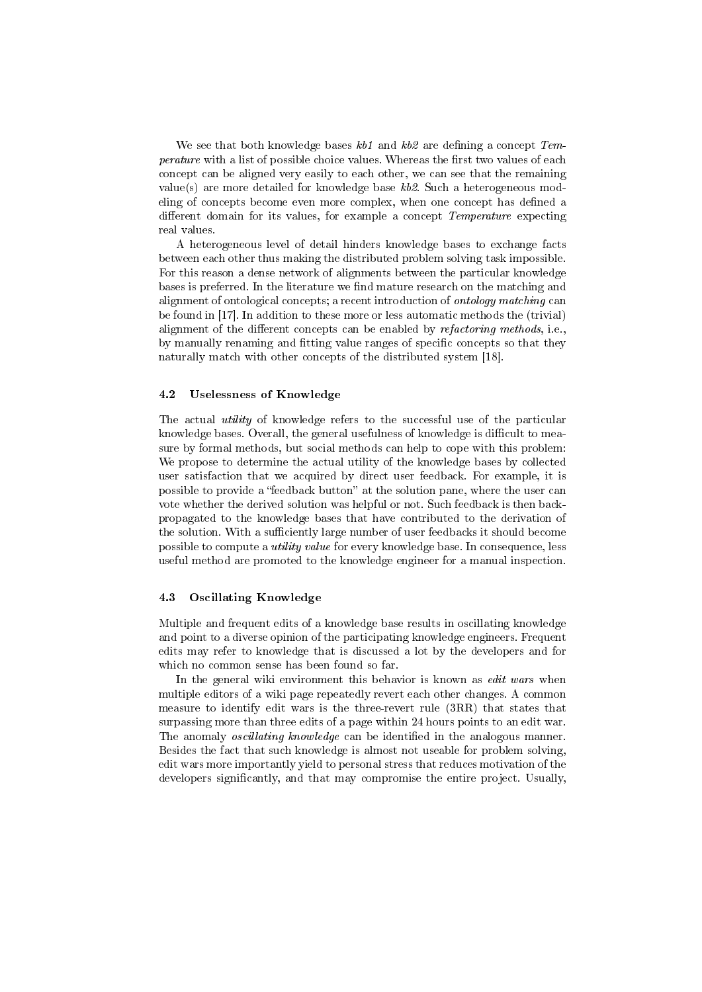We see that both knowledge bases  $kb1$  and  $kb2$  are defining a concept Temperature with a list of possible choice values. Whereas the first two values of each concept can be aligned very easily to each other, we can see that the remaining value(s) are more detailed for knowledge base  $kb2$ . Such a heterogeneous modeling of concepts become even more complex, when one concept has defined a different domain for its values, for example a concept *Temperature* expecting real values.

A heterogeneous level of detail hinders knowledge bases to exchange facts between each other thus making the distributed problem solving task impossible. For this reason a dense network of alignments between the particular knowledge bases is preferred. In the literature we find mature research on the matching and alignment of ontological concepts; a recent introduction of ontology matching can be found in [17]. In addition to these more or less automatic methods the (trivial) alignment of the different concepts can be enabled by *refactoring methods*, i.e., by manually renaming and fitting value ranges of specific concepts so that they naturally match with other concepts of the distributed system [18].

## 4.2 Uselessness of Knowledge

The actual utility of knowledge refers to the successful use of the particular knowledge bases. Overall, the general usefulness of knowledge is difficult to measure by formal methods, but social methods can help to cope with this problem: We propose to determine the actual utility of the knowledge bases by collected user satisfaction that we acquired by direct user feedback. For example, it is possible to provide a "feedback button" at the solution pane, where the user can vote whether the derived solution was helpful or not. Such feedback is then backpropagated to the knowledge bases that have contributed to the derivation of the solution. With a sufficiently large number of user feedbacks it should become possible to compute a utility value for every knowledge base. In consequence, less useful method are promoted to the knowledge engineer for a manual inspection.

#### 4.3 Oscillating Knowledge

Multiple and frequent edits of a knowledge base results in oscillating knowledge and point to a diverse opinion of the participating knowledge engineers. Frequent edits may refer to knowledge that is discussed a lot by the developers and for which no common sense has been found so far.

In the general wiki environment this behavior is known as edit wars when multiple editors of a wiki page repeatedly revert each other changes. A common measure to identify edit wars is the three-revert rule (3RR) that states that surpassing more than three edits of a page within 24 hours points to an edit war. The anomaly *oscillating knowledge* can be identified in the analogous manner. Besides the fact that such knowledge is almost not useable for problem solving, edit wars more importantly yield to personal stress that reduces motivation of the developers signicantly, and that may compromise the entire project. Usually,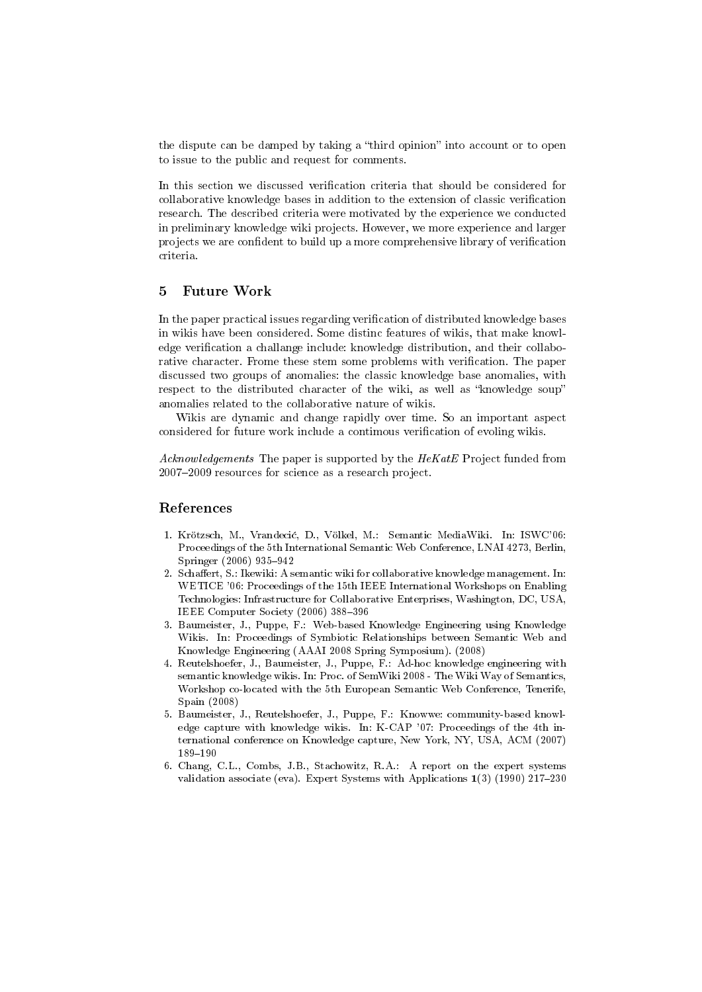the dispute can be damped by taking a "third opinion" into account or to open to issue to the public and request for comments.

In this section we discussed verification criteria that should be considered for collaborative knowledge bases in addition to the extension of classic verification research. The described criteria were motivated by the experience we conducted in preliminary knowledge wiki projects. However, we more experience and larger projects we are condent to build up a more comprehensive library of verication criteria.

## 5 Future Work

In the paper practical issues regarding verification of distributed knowledge bases in wikis have been considered. Some distinc features of wikis, that make knowledge verification a challange include: knowledge distribution, and their collaborative character. Frome these stem some problems with verification. The paper discussed two groups of anomalies: the classic knowledge base anomalies, with respect to the distributed character of the wiki, as well as "knowledge soup" anomalies related to the collaborative nature of wikis.

Wikis are dynamic and change rapidly over time. So an important aspect considered for future work include a contimous verification of evoling wikis.

Acknowledgements The paper is supported by the HeKatE Project funded from 2007–2009 resources for science as a research project.

## References

- 1. Krötzsch, M., Vrandeci¢, D., Völkel, M.: Semantic MediaWiki. In: ISWC'06: Proceedings of the 5th International Semantic Web Conference, LNAI 4273, Berlin, Springer (2006) 935-942
- 2. Schaffert, S.: Ikewiki: A semantic wiki for collaborative knowledge management. In: WETICE '06: Proceedings of the 15th IEEE International Workshops on Enabling Technologies: Infrastructure for Collaborative Enterprises, Washington, DC, USA, IEEE Computer Society (2006) 388-396
- 3. Baumeister, J., Puppe, F.: Web-based Knowledge Engineering using Knowledge Wikis. In: Proceedings of Symbiotic Relationships between Semantic Web and Knowledge Engineering (AAAI 2008 Spring Symposium). (2008)
- 4. Reutelshoefer, J., Baumeister, J., Puppe, F.: Ad-hoc knowledge engineering with semantic knowledge wikis. In: Proc. of SemWiki 2008 - The Wiki Way of Semantics, Workshop co-located with the 5th European Semantic Web Conference, Tenerife, Spain (2008)
- 5. Baumeister, J., Reutelshoefer, J., Puppe, F.: Knowwe: community-based knowledge capture with knowledge wikis. In: K-CAP '07: Proceedings of the 4th international conference on Knowledge capture, New York, NY, USA, ACM (2007) 189-190
- 6. Chang, C.L., Combs, J.B., Stachowitz, R.A.: A report on the expert systems validation associate (eva). Expert Systems with Applications  $1(3)$  (1990) 217-230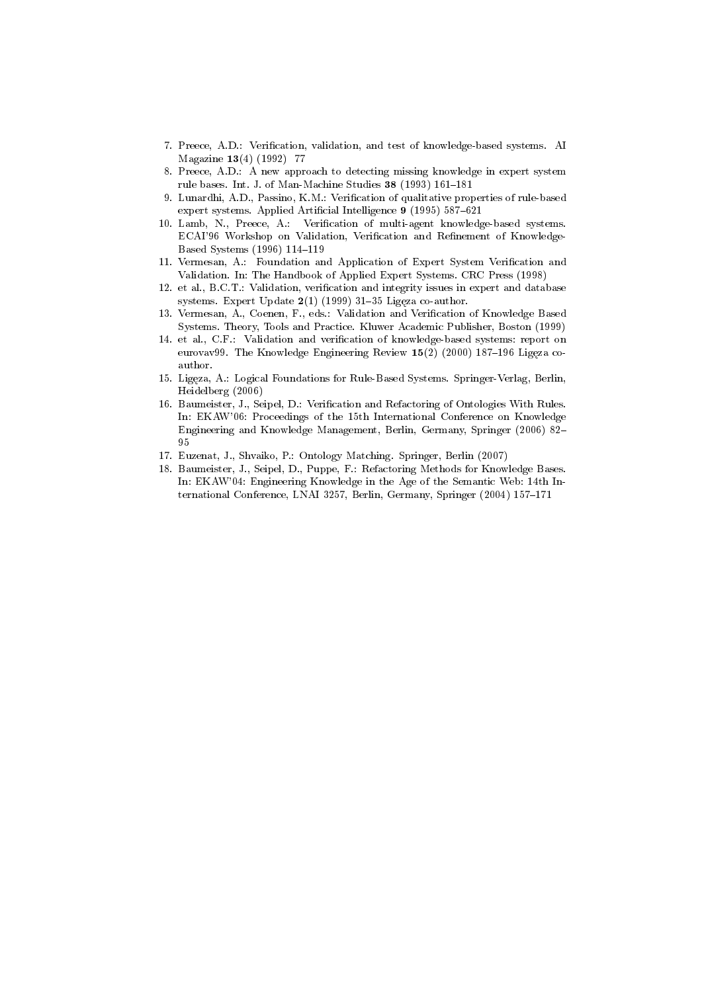- 7. Preece, A.D.: Verification, validation, and test of knowledge-based systems. AI Magazine 13(4) (1992) 77
- 8. Preece, A.D.: A new approach to detecting missing knowledge in expert system rule bases. Int. J. of Man-Machine Studies  $38$  (1993) 161-181
- 9. Lunardhi, A.D., Passino, K.M.: Verification of qualitative properties of rule-based expert systems. Applied Artificial Intelligence 9 (1995) 587-621
- 10. Lamb, N., Preece, A.: Verification of multi-agent knowledge-based systems. ECAI'96 Workshop on Validation, Verification and Refinement of Knowledge-Based Systems (1996) 114-119
- 11. Vermesan, A.: Foundation and Application of Expert System Verification and Validation. In: The Handbook of Applied Expert Systems. CRC Press (1998)
- 12. et al., B.C.T.: Validation, verification and integrity issues in expert and database systems. Expert Update  $2(1)$  (1999) 31-35 Ligeza co-author.
- 13. Vermesan, A., Coenen, F., eds.: Validation and Verification of Knowledge Based Systems. Theory, Tools and Practice. Kluwer Academic Publisher, Boston (1999)
- 14. et al., C.F.: Validation and verification of knowledge-based systems: report on eurovav99. The Knowledge Engineering Review  $15(2)$  (2000) 187-196 Ligęza coauthor.
- 15. Ligęza, A.: Logical Foundations for Rule-Based Systems. Springer-Verlag, Berlin, Heidelberg (2006)
- 16. Baumeister, J., Seipel, D.: Verification and Refactoring of Ontologies With Rules. In: EKAW'06: Proceedings of the 15th International Conference on Knowledge Engineering and Knowledge Management, Berlin, Germany, Springer (2006) 82 95
- 17. Euzenat, J., Shvaiko, P.: Ontology Matching. Springer, Berlin (2007)
- 18. Baumeister, J., Seipel, D., Puppe, F.: Refactoring Methods for Knowledge Bases. In: EKAW'04: Engineering Knowledge in the Age of the Semantic Web: 14th International Conference, LNAI 3257, Berlin, Germany, Springer (2004) 157-171